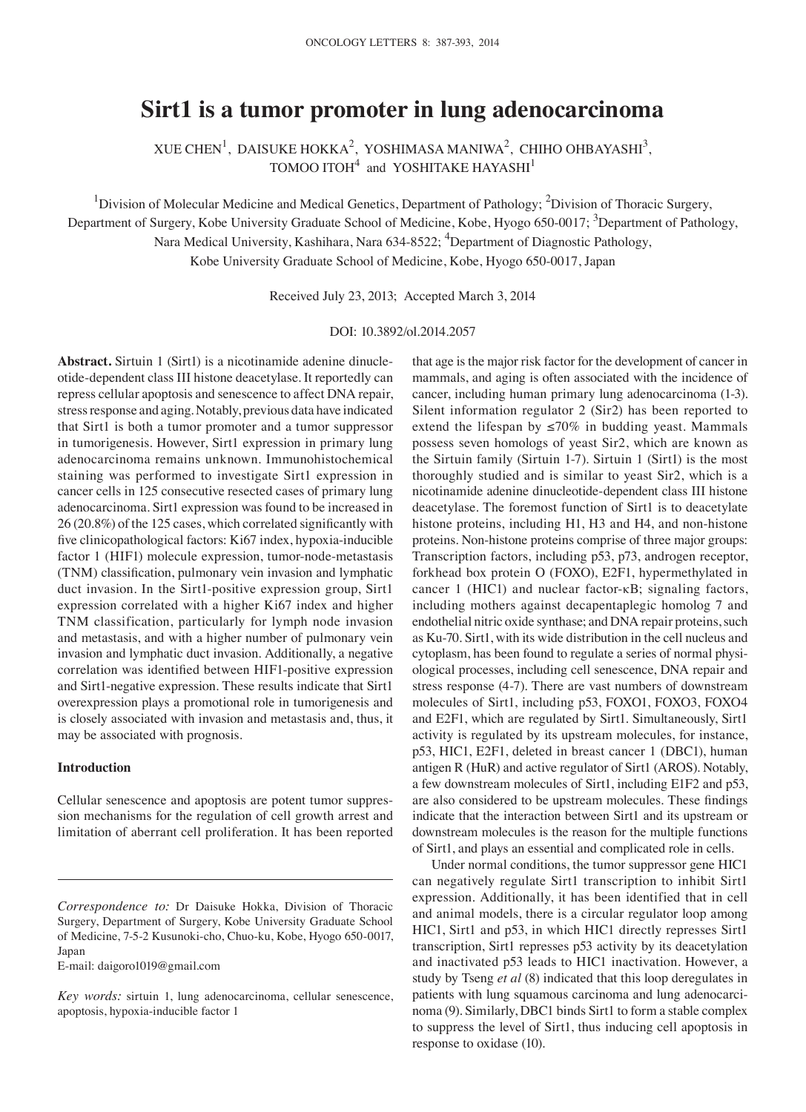# **Sirt1 is a tumor promoter in lung adenocarcinoma**

XUE CHEN<sup>1</sup>, DAISUKE HOKKA<sup>2</sup>, YOSHIMASA MANIWA<sup>2</sup>, CHIHO OHBAYASHI<sup>3</sup>, TOMOO ITOH $^4$  and YOSHITAKE HAYASHI $^1$ 

<sup>1</sup>Division of Molecular Medicine and Medical Genetics, Department of Pathology; <sup>2</sup>Division of Thoracic Surgery,

Department of Surgery, Kobe University Graduate School of Medicine, Kobe, Hyogo 650-0017; <sup>3</sup>Department of Pathology,

Nara Medical University, Kashihara, Nara 634-8522; <sup>4</sup>Department of Diagnostic Pathology,

Kobe University Graduate School of Medicine, Kobe, Hyogo 650‑0017, Japan

Received July 23, 2013; Accepted March 3, 2014

DOI: 10.3892/ol.2014.2057

**Abstract.** Sirtuin 1 (Sirt1) is a nicotinamide adenine dinucleotide-dependent class III histone deacetylase. It reportedly can repress cellular apoptosis and senescence to affect DNA repair, stress response and aging. Notably, previous data have indicated that Sirt1 is both a tumor promoter and a tumor suppressor in tumorigenesis. However, Sirt1 expression in primary lung adenocarcinoma remains unknown. Immunohistochemical staining was performed to investigate Sirt1 expression in cancer cells in 125 consecutive resected cases of primary lung adenocarcinoma. Sirt1 expression was found to be increased in 26 (20.8%) of the 125 cases, which correlated significantly with five clinicopathological factors: Ki67 index, hypoxia-inducible factor 1 (HIF1) molecule expression, tumor-node-metastasis (TNM) classification, pulmonary vein invasion and lymphatic duct invasion. In the Sirt1-positive expression group, Sirt1 expression correlated with a higher Ki67 index and higher TNM classification, particularly for lymph node invasion and metastasis, and with a higher number of pulmonary vein invasion and lymphatic duct invasion. Additionally, a negative correlation was identified between HIF1‑positive expression and Sirt1-negative expression. These results indicate that Sirt1 overexpression plays a promotional role in tumorigenesis and is closely associated with invasion and metastasis and, thus, it may be associated with prognosis.

### **Introduction**

Cellular senescence and apoptosis are potent tumor suppression mechanisms for the regulation of cell growth arrest and limitation of aberrant cell proliferation. It has been reported

E-mail: daigoro1019@gmail.com

that age is the major risk factor for the development of cancer in mammals, and aging is often associated with the incidence of cancer, including human primary lung adenocarcinoma (1-3). Silent information regulator 2 (Sir2) has been reported to extend the lifespan by  $\leq 70\%$  in budding yeast. Mammals possess seven homologs of yeast Sir2, which are known as the Sirtuin family (Sirtuin 1-7). Sirtuin 1 (Sirt1) is the most thoroughly studied and is similar to yeast Sir2, which is a nicotinamide adenine dinucleotide-dependent class III histone deacetylase. The foremost function of Sirt1 is to deacetylate histone proteins, including H1, H3 and H4, and non-histone proteins. Non-histone proteins comprise of three major groups: Transcription factors, including p53, p73, androgen receptor, forkhead box protein O (FOXO), E2F1, hypermethylated in cancer 1 (HIC1) and nuclear factor-κB; signaling factors, including mothers against decapentaplegic homolog 7 and endothelial nitric oxide synthase; and DNA repair proteins, such as Ku‑70. Sirt1, with its wide distribution in the cell nucleus and cytoplasm, has been found to regulate a series of normal physiological processes, including cell senescence, DNA repair and stress response (4-7). There are vast numbers of downstream molecules of Sirt1, including p53, FOXO1, FOXO3, FOXO4 and E2F1, which are regulated by Sirt1. Simultaneously, Sirt1 activity is regulated by its upstream molecules, for instance, p53, HIC1, E2F1, deleted in breast cancer 1 (DBC1), human antigen R (HuR) and active regulator of Sirt1 (AROS). Notably, a few downstream molecules of Sirt1, including E1F2 and p53, are also considered to be upstream molecules. These findings indicate that the interaction between Sirt1 and its upstream or downstream molecules is the reason for the multiple functions of Sirt1, and plays an essential and complicated role in cells.

Under normal conditions, the tumor suppressor gene HIC1 can negatively regulate Sirt1 transcription to inhibit Sirt1 expression. Additionally, it has been identified that in cell and animal models, there is a circular regulator loop among HIC1, Sirt1 and p53, in which HIC1 directly represses Sirt1 transcription, Sirt1 represses p53 activity by its deacetylation and inactivated p53 leads to HIC1 inactivation. However, a study by Tseng *et al* (8) indicated that this loop deregulates in patients with lung squamous carcinoma and lung adenocarcinoma (9). Similarly, DBC1 binds Sirt1 to form a stable complex to suppress the level of Sirt1, thus inducing cell apoptosis in response to oxidase (10).

*Correspondence to:* Dr Daisuke Hokka, Division of Thoracic Surgery, Department of Surgery, Kobe University Graduate School of Medicine, 7‑5‑2 Kusunoki‑cho, Chuo‑ku, Kobe, Hyogo 650‑0017, Japan

*Key words:* sirtuin 1, lung adenocarcinoma, cellular senescence, apoptosis, hypoxia-inducible factor 1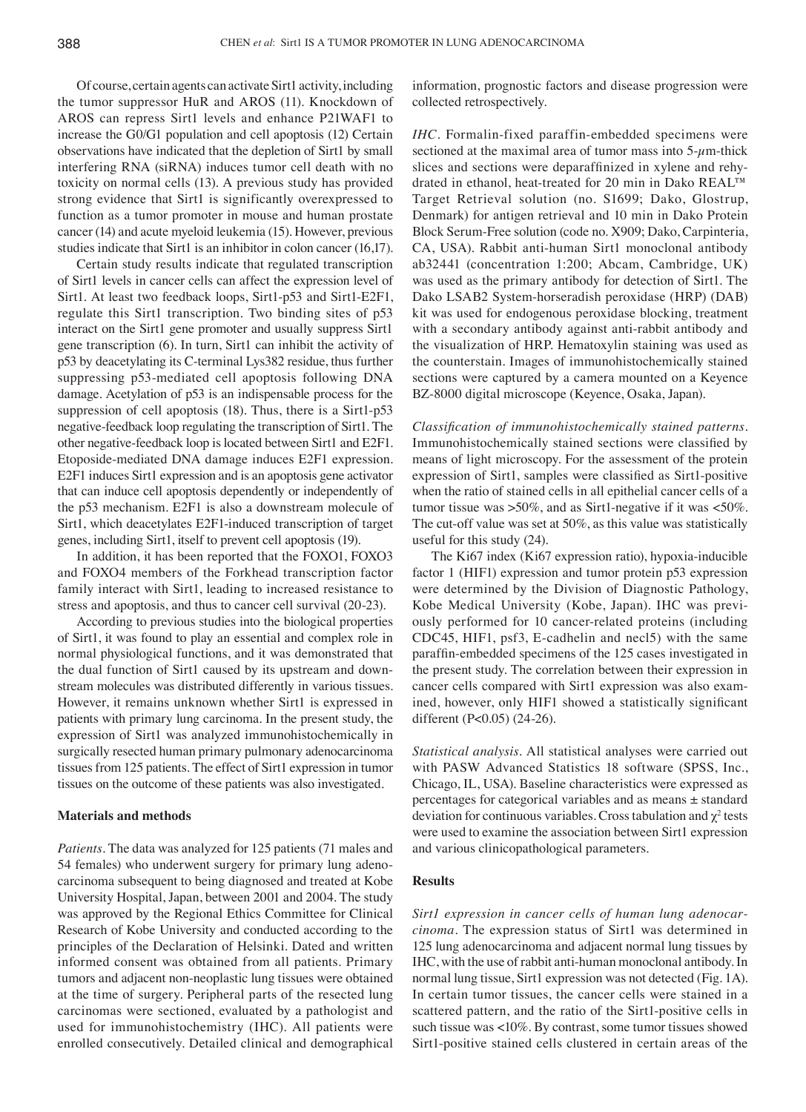Of course, certain agents can activate Sirt1 activity, including the tumor suppressor HuR and AROS (11). Knockdown of AROS can repress Sirt1 levels and enhance P21WAF1 to increase the G0/G1 population and cell apoptosis (12) Certain observations have indicated that the depletion of Sirt1 by small interfering RNA (siRNA) induces tumor cell death with no toxicity on normal cells (13). A previous study has provided strong evidence that Sirt1 is significantly overexpressed to function as a tumor promoter in mouse and human prostate cancer (14) and acute myeloid leukemia (15). However, previous studies indicate that Sirt1 is an inhibitor in colon cancer (16,17).

Certain study results indicate that regulated transcription of Sirt1 levels in cancer cells can affect the expression level of Sirt1. At least two feedback loops, Sirt1-p53 and Sirt1-E2F1, regulate this Sirt1 transcription. Two binding sites of p53 interact on the Sirt1 gene promoter and usually suppress Sirt1 gene transcription (6). In turn, Sirt1 can inhibit the activity of p53 by deacetylating its C-terminal Lys382 residue, thus further suppressing p53-mediated cell apoptosis following DNA damage. Acetylation of p53 is an indispensable process for the suppression of cell apoptosis (18). Thus, there is a Sirt1-p53 negative-feedback loop regulating the transcription of Sirt1. The other negative-feedback loop is located between Sirt1 and E2F1. Etoposide-mediated DNA damage induces E2F1 expression. E2F1 induces Sirt1 expression and is an apoptosis gene activator that can induce cell apoptosis dependently or independently of the p53 mechanism. E2F1 is also a downstream molecule of Sirt1, which deacetylates E2F1-induced transcription of target genes, including Sirt1, itself to prevent cell apoptosis (19).

In addition, it has been reported that the FOXO1, FOXO3 and FOXO4 members of the Forkhead transcription factor family interact with Sirt1, leading to increased resistance to stress and apoptosis, and thus to cancer cell survival (20-23).

According to previous studies into the biological properties of Sirt1, it was found to play an essential and complex role in normal physiological functions, and it was demonstrated that the dual function of Sirt1 caused by its upstream and downstream molecules was distributed differently in various tissues. However, it remains unknown whether Sirt1 is expressed in patients with primary lung carcinoma. In the present study, the expression of Sirt1 was analyzed immunohistochemically in surgically resected human primary pulmonary adenocarcinoma tissues from 125 patients. The effect of Sirt1 expression in tumor tissues on the outcome of these patients was also investigated.

## **Materials and methods**

*Patients.* The data was analyzed for 125 patients (71 males and 54 females) who underwent surgery for primary lung adenocarcinoma subsequent to being diagnosed and treated at Kobe University Hospital, Japan, between 2001 and 2004. The study was approved by the Regional Ethics Committee for Clinical Research of Kobe University and conducted according to the principles of the Declaration of Helsinki. Dated and written informed consent was obtained from all patients. Primary tumors and adjacent non-neoplastic lung tissues were obtained at the time of surgery. Peripheral parts of the resected lung carcinomas were sectioned, evaluated by a pathologist and used for immunohistochemistry (IHC). All patients were enrolled consecutively. Detailed clinical and demographical information, prognostic factors and disease progression were collected retrospectively.

*IHC*. Formalin-fixed paraffin-embedded specimens were sectioned at the maximal area of tumor mass into  $5$ - $\mu$ m-thick slices and sections were deparaffinized in xylene and rehydrated in ethanol, heat-treated for 20 min in Dako REAL™ Target Retrieval solution (no. S1699; Dako, Glostrup, Denmark) for antigen retrieval and 10 min in Dako Protein Block Serum-Free solution (code no. X909; Dako, Carpinteria, CA, USA). Rabbit anti-human Sirt1 monoclonal antibody ab32441 (concentration 1:200; Abcam, Cambridge, UK) was used as the primary antibody for detection of Sirt1. The Dako LSAB2 System-horseradish peroxidase (HRP) (DAB) kit was used for endogenous peroxidase blocking, treatment with a secondary antibody against anti-rabbit antibody and the visualization of HRP. Hematoxylin staining was used as the counterstain. Images of immunohistochemically stained sections were captured by a camera mounted on a Keyence BZ‑8000 digital microscope (Keyence, Osaka, Japan).

*Classification of immunohistochemically stained patterns.*  Immunohistochemically stained sections were classified by means of light microscopy. For the assessment of the protein expression of Sirt1, samples were classified as Sirt1‑positive when the ratio of stained cells in all epithelial cancer cells of a tumor tissue was >50%, and as Sirt1-negative if it was <50%. The cut-off value was set at 50%, as this value was statistically useful for this study (24).

The Ki67 index (Ki67 expression ratio), hypoxia-inducible factor 1 (HIF1) expression and tumor protein p53 expression were determined by the Division of Diagnostic Pathology, Kobe Medical University (Kobe, Japan). IHC was previously performed for 10 cancer-related proteins (including CDC45, HIF1, psf3, E-cadhelin and necl5) with the same paraffin‑embedded specimens of the 125 cases investigated in the present study. The correlation between their expression in cancer cells compared with Sirt1 expression was also examined, however, only HIF1 showed a statistically significant different (P<0.05) (24-26).

*Statistical analysis.* All statistical analyses were carried out with PASW Advanced Statistics 18 software (SPSS, Inc., Chicago, IL, USA). Baseline characteristics were expressed as percentages for categorical variables and as means ± standard deviation for continuous variables. Cross tabulation and  $\chi^2$  tests were used to examine the association between Sirt1 expression and various clinicopathological parameters.

## **Results**

*Sirt1 expression in cancer cells of human lung adenocarcinoma.* The expression status of Sirt1 was determined in 125 lung adenocarcinoma and adjacent normal lung tissues by IHC, with the use of rabbit anti-human monoclonal antibody. In normal lung tissue, Sirt1 expression was not detected (Fig. 1A). In certain tumor tissues, the cancer cells were stained in a scattered pattern, and the ratio of the Sirt1-positive cells in such tissue was <10%. By contrast, some tumor tissues showed Sirt1-positive stained cells clustered in certain areas of the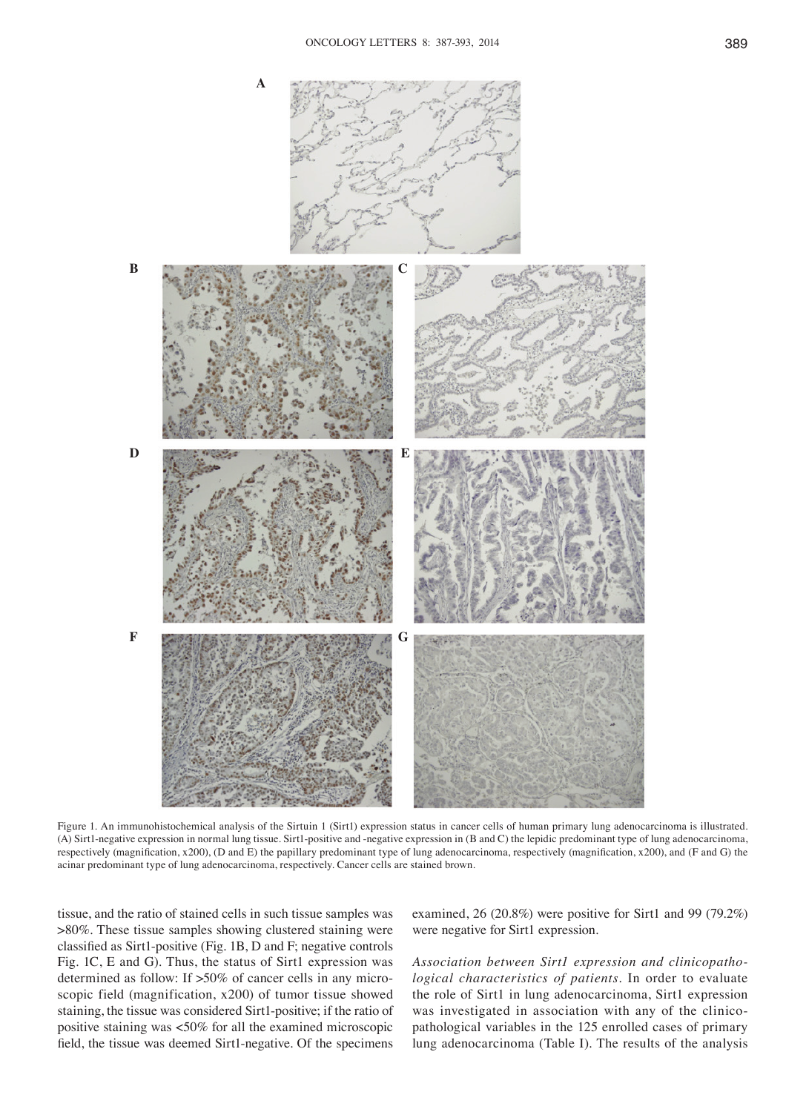

Figure 1. An immunohistochemical analysis of the Sirtuin 1 (Sirt1) expression status in cancer cells of human primary lung adenocarcinoma is illustrated. (A) Sirt1-negative expression in normal lung tissue. Sirt1-positive and -negative expression in (B and C) the lepidic predominant type of lung adenocarcinoma, respectively (magnification, x200), (D and E) the papillary predominant type of lung adenocarcinoma, respectively (magnification, x200), and (F and G) the acinar predominant type of lung adenocarcinoma, respectively. Cancer cells are stained brown.

tissue, and the ratio of stained cells in such tissue samples was >80%. These tissue samples showing clustered staining were classified as Sirt1‑positive (Fig. 1B, D and F; negative controls Fig. 1C, E and G). Thus, the status of Sirt1 expression was determined as follow: If >50% of cancer cells in any microscopic field (magnification, x200) of tumor tissue showed staining, the tissue was considered Sirt1-positive; if the ratio of positive staining was <50% for all the examined microscopic field, the tissue was deemed Sirt1‑negative. Of the specimens

examined, 26 (20.8%) were positive for Sirt1 and 99 (79.2%) were negative for Sirt1 expression.

*Association between Sirt1 expression and clinicopathological characteristics of patients.* In order to evaluate the role of Sirt1 in lung adenocarcinoma, Sirt1 expression was investigated in association with any of the clinicopathological variables in the 125 enrolled cases of primary lung adenocarcinoma (Table I). The results of the analysis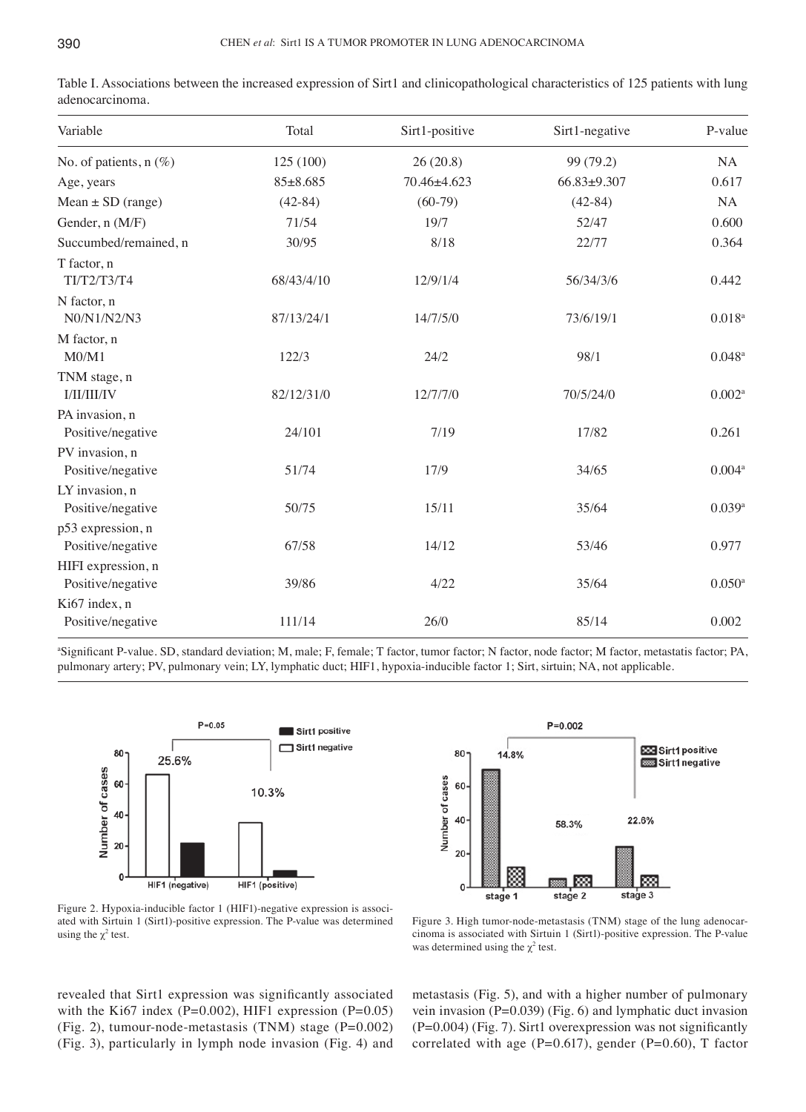| Variable                                | Total          | Sirt1-positive | Sirt1-negative  | P-value              |
|-----------------------------------------|----------------|----------------|-----------------|----------------------|
| No. of patients, $n$ (%)                | 125(100)       | 26(20.8)       | 99 (79.2)       | NA                   |
| Age, years                              | $85 \pm 8.685$ | 70.46±4.623    | $66.83 + 9.307$ | 0.617                |
| Mean $\pm$ SD (range)                   | $(42-84)$      | $(60-79)$      | $(42-84)$       | NA                   |
| Gender, n (M/F)                         | 71/54          | 19/7           | 52/47           | 0.600                |
| Succumbed/remained, n                   | 30/95          | 8/18           | 22/77           | 0.364                |
| T factor, n<br><b>TI/T2/T3/T4</b>       | 68/43/4/10     | 12/9/1/4       | 56/34/3/6       | 0.442                |
| N factor, n<br>N0/N1/N2/N3              | 87/13/24/1     | 14/7/5/0       | 73/6/19/1       | $0.018$ ${\rm a}$    |
| M factor, n<br>M0/M1                    | 122/3          | 24/2           | 98/1            | $0.048$ <sup>a</sup> |
| TNM stage, n<br>$I/II/III/IV$           | 82/12/31/0     | 12/7/7/0       | 70/5/24/0       | $0.002^{\rm a}$      |
| PA invasion, n<br>Positive/negative     | 24/101         | 7/19           | 17/82           | 0.261                |
| PV invasion, n<br>Positive/negative     | 51/74          | 17/9           | 34/65           | $0.004^{\rm a}$      |
| LY invasion, n<br>Positive/negative     | 50/75          | 15/11          | 35/64           | $0.039^{a}$          |
| p53 expression, n<br>Positive/negative  | 67/58          | 14/12          | 53/46           | 0.977                |
| HIFI expression, n<br>Positive/negative | 39/86          | 4/22           | 35/64           | $0.050$ <sup>a</sup> |
| Ki67 index, n<br>Positive/negative      | 111/14         | 26/0           | 85/14           | 0.002                |

Table I. Associations between the increased expression of Sirt1 and clinicopathological characteristics of 125 patients with lung adenocarcinoma.

a Significant P‑value. SD, standard deviation; M, male; F, female; T factor, tumor factor; N factor, node factor; M factor, metastatis factor; PA, pulmonary artery; PV, pulmonary vein; LY, lymphatic duct; HIF1, hypoxia-inducible factor 1; Sirt, sirtuin; NA, not applicable.



Figure 2. Hypoxia-inducible factor 1 (HIF1)-negative expression is associated with Sirtuin 1 (Sirt1)-positive expression. The P-value was determined using the  $\chi^2$  test.

revealed that Sirt1 expression was significantly associated with the Ki67 index (P=0.002), HIF1 expression (P=0.05) (Fig. 2), tumour‑node‑metastasis (TNM) stage (P=0.002) (Fig. 3), particularly in lymph node invasion (Fig. 4) and



Figure 3. High tumor-node-metastasis (TNM) stage of the lung adenocarcinoma is associated with Sirtuin 1 (Sirt1)-positive expression. The P-value was determined using the  $\chi^2$  test.

metastasis (Fig. 5), and with a higher number of pulmonary vein invasion ( $P=0.039$ ) (Fig. 6) and lymphatic duct invasion (P=0.004) (Fig. 7). Sirt1 overexpression was not significantly correlated with age (P=0.617), gender (P=0.60), T factor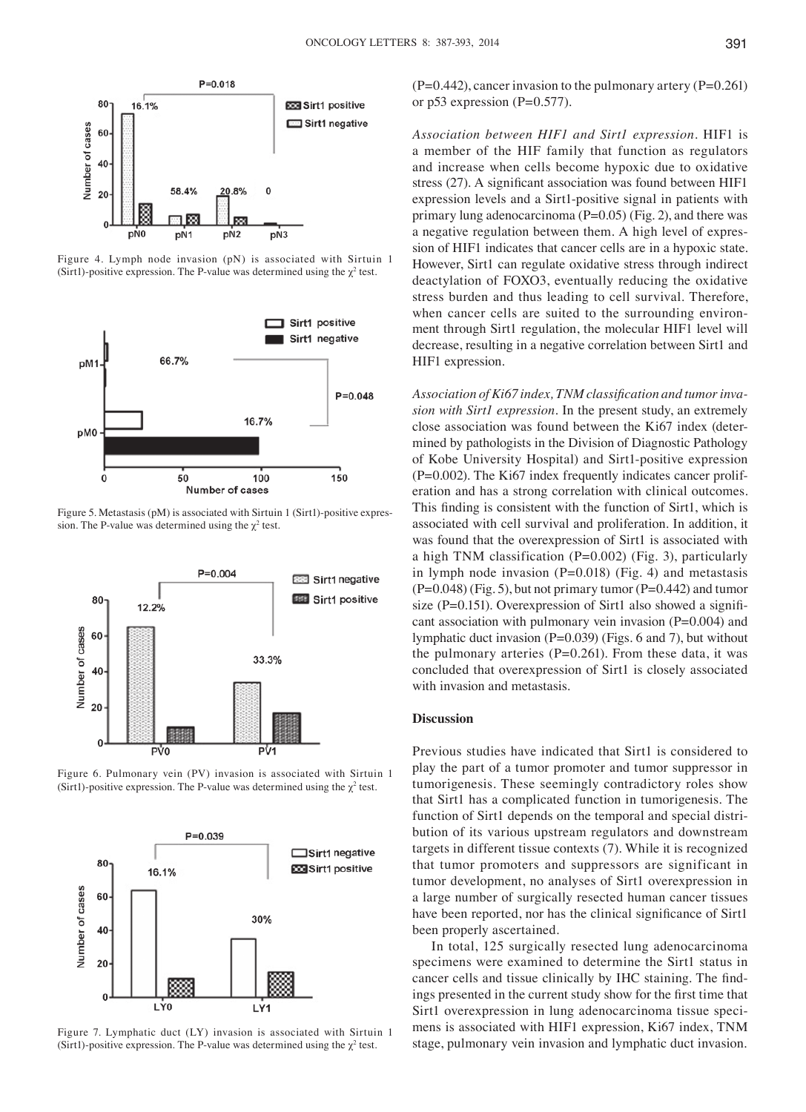

Figure 4. Lymph node invasion (pN) is associated with Sirtuin 1 (Sirt1)-positive expression. The P-value was determined using the  $\chi^2$  test.



Figure 5. Metastasis (pM) is associated with Sirtuin 1 (Sirt1)-positive expression. The P-value was determined using the  $\chi^2$  test.



Figure 6. Pulmonary vein (PV) invasion is associated with Sirtuin 1 (Sirt1)-positive expression. The P-value was determined using the  $\chi^2$  test.



Figure 7. Lymphatic duct (LY) invasion is associated with Sirtuin 1 (Sirt1)-positive expression. The P-value was determined using the  $\chi^2$  test.

 $(P=0.442)$ , cancer invasion to the pulmonary artery  $(P=0.261)$ or  $p53$  expression (P=0.577).

*Association between HIF1 and Sirt1 expression.* HIF1 is a member of the HIF family that function as regulators and increase when cells become hypoxic due to oxidative stress (27). A significant association was found between HIF1 expression levels and a Sirt1-positive signal in patients with primary lung adenocarcinoma ( $P=0.05$ ) (Fig. 2), and there was a negative regulation between them. A high level of expression of HIF1 indicates that cancer cells are in a hypoxic state. However, Sirt1 can regulate oxidative stress through indirect deactylation of FOXO3, eventually reducing the oxidative stress burden and thus leading to cell survival. Therefore, when cancer cells are suited to the surrounding environment through Sirt1 regulation, the molecular HIF1 level will decrease, resulting in a negative correlation between Sirt1 and HIF1 expression.

*Association of Ki67 index, TNM classification and tumor invasion with Sirt1 expression.* In the present study, an extremely close association was found between the Ki67 index (determined by pathologists in the Division of Diagnostic Pathology of Kobe University Hospital) and Sirt1‑positive expression  $(P=0.002)$ . The Ki67 index frequently indicates cancer proliferation and has a strong correlation with clinical outcomes. This finding is consistent with the function of Sirt1, which is associated with cell survival and proliferation. In addition, it was found that the overexpression of Sirt1 is associated with a high TNM classification (P=0.002) (Fig. 3), particularly in lymph node invasion  $(P=0.018)$  (Fig. 4) and metastasis  $(P=0.048)$  (Fig. 5), but not primary tumor (P=0.442) and tumor size ( $P=0.151$ ). Overexpression of Sirt1 also showed a significant association with pulmonary vein invasion  $(P=0.004)$  and lymphatic duct invasion (P=0.039) (Figs. 6 and 7), but without the pulmonary arteries  $(P=0.261)$ . From these data, it was concluded that overexpression of Sirt1 is closely associated with invasion and metastasis.

#### **Discussion**

Previous studies have indicated that Sirt1 is considered to play the part of a tumor promoter and tumor suppressor in tumorigenesis. These seemingly contradictory roles show that Sirt1 has a complicated function in tumorigenesis. The function of Sirt1 depends on the temporal and special distribution of its various upstream regulators and downstream targets in different tissue contexts (7). While it is recognized that tumor promoters and suppressors are significant in tumor development, no analyses of Sirt1 overexpression in a large number of surgically resected human cancer tissues have been reported, nor has the clinical significance of Sirt1 been properly ascertained.

In total, 125 surgically resected lung adenocarcinoma specimens were examined to determine the Sirt1 status in cancer cells and tissue clinically by IHC staining. The findings presented in the current study show for the first time that Sirt1 overexpression in lung adenocarcinoma tissue specimens is associated with HIF1 expression, Ki67 index, TNM stage, pulmonary vein invasion and lymphatic duct invasion.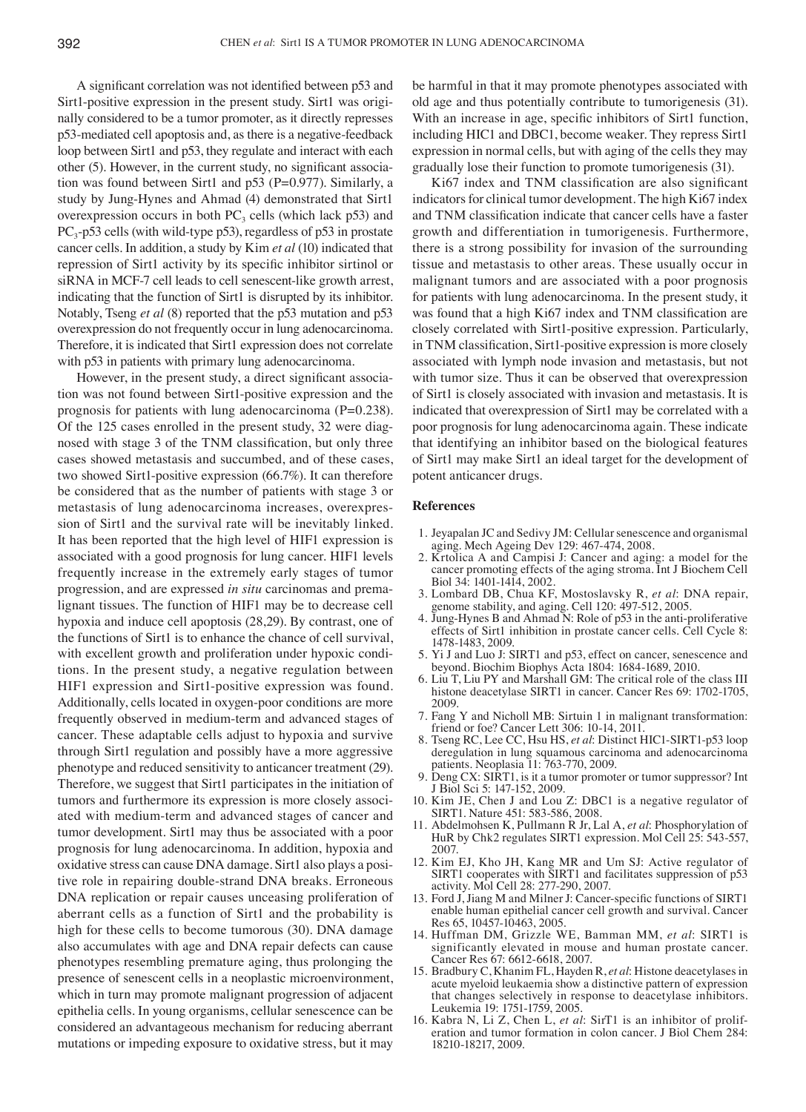A significant correlation was not identified between p53 and Sirt1-positive expression in the present study. Sirt1 was originally considered to be a tumor promoter, as it directly represses p53-mediated cell apoptosis and, as there is a negative-feedback loop between Sirt1 and p53, they regulate and interact with each other (5). However, in the current study, no significant association was found between Sirt1 and p53 (P=0.977). Similarly, a study by Jung‑Hynes and Ahmad (4) demonstrated that Sirt1 overexpression occurs in both  $PC<sub>3</sub>$  cells (which lack p53) and  $PC_3-p53$  cells (with wild-type p53), regardless of p53 in prostate cancer cells. In addition, a study by Kim *et al* (10) indicated that repression of Sirt1 activity by its specific inhibitor sirtinol or siRNA in MCF-7 cell leads to cell senescent-like growth arrest, indicating that the function of Sirt1 is disrupted by its inhibitor. Notably, Tseng *et al* (8) reported that the p53 mutation and p53 overexpression do not frequently occur in lung adenocarcinoma. Therefore, it is indicated that Sirt1 expression does not correlate with p53 in patients with primary lung adenocarcinoma.

However, in the present study, a direct significant association was not found between Sirt1-positive expression and the prognosis for patients with lung adenocarcinoma (P=0.238). Of the 125 cases enrolled in the present study, 32 were diagnosed with stage 3 of the TNM classification, but only three cases showed metastasis and succumbed, and of these cases, two showed Sirt1-positive expression (66.7%). It can therefore be considered that as the number of patients with stage 3 or metastasis of lung adenocarcinoma increases, overexpression of Sirt1 and the survival rate will be inevitably linked. It has been reported that the high level of HIF1 expression is associated with a good prognosis for lung cancer. HIF1 levels frequently increase in the extremely early stages of tumor progression, and are expressed *in situ* carcinomas and premalignant tissues. The function of HIF1 may be to decrease cell hypoxia and induce cell apoptosis (28,29). By contrast, one of the functions of Sirt1 is to enhance the chance of cell survival, with excellent growth and proliferation under hypoxic conditions. In the present study, a negative regulation between HIF1 expression and Sirt1-positive expression was found. Additionally, cells located in oxygen-poor conditions are more frequently observed in medium-term and advanced stages of cancer. These adaptable cells adjust to hypoxia and survive through Sirt1 regulation and possibly have a more aggressive phenotype and reduced sensitivity to anticancer treatment (29). Therefore, we suggest that Sirt1 participates in the initiation of tumors and furthermore its expression is more closely associated with medium-term and advanced stages of cancer and tumor development. Sirt1 may thus be associated with a poor prognosis for lung adenocarcinoma. In addition, hypoxia and oxidative stress can cause DNA damage. Sirt1 also plays a positive role in repairing double-strand DNA breaks. Erroneous DNA replication or repair causes unceasing proliferation of aberrant cells as a function of Sirt1 and the probability is high for these cells to become tumorous (30). DNA damage also accumulates with age and DNA repair defects can cause phenotypes resembling premature aging, thus prolonging the presence of senescent cells in a neoplastic microenvironment, which in turn may promote malignant progression of adjacent epithelia cells. In young organisms, cellular senescence can be considered an advantageous mechanism for reducing aberrant mutations or impeding exposure to oxidative stress, but it may

be harmful in that it may promote phenotypes associated with old age and thus potentially contribute to tumorigenesis (31). With an increase in age, specific inhibitors of Sirt1 function, including HIC1 and DBC1, become weaker. They repress Sirt1 expression in normal cells, but with aging of the cells they may gradually lose their function to promote tumorigenesis (31).

Ki67 index and TNM classification are also significant indicators for clinical tumor development. The high Ki67 index and TNM classification indicate that cancer cells have a faster growth and differentiation in tumorigenesis. Furthermore, there is a strong possibility for invasion of the surrounding tissue and metastasis to other areas. These usually occur in malignant tumors and are associated with a poor prognosis for patients with lung adenocarcinoma. In the present study, it was found that a high Ki67 index and TNM classification are closely correlated with Sirt1-positive expression. Particularly, in TNM classification, Sirt1‑positive expression is more closely associated with lymph node invasion and metastasis, but not with tumor size. Thus it can be observed that overexpression of Sirt1 is closely associated with invasion and metastasis. It is indicated that overexpression of Sirt1 may be correlated with a poor prognosis for lung adenocarcinoma again. These indicate that identifying an inhibitor based on the biological features of Sirt1 may make Sirt1 an ideal target for the development of potent anticancer drugs.

#### **References**

- 1. Jeyapalan JC and Sedivy JM: Cellular senescence and organismal aging. Mech Ageing Dev 129: 467-474, 2008.
- 2. Krtolica A and Campisi J: Cancer and aging: a model for the cancer promoting effects of the aging stroma. Int J Biochem Cell Biol 34: 1401-1414, 2002.
- 3. Lombard DB, Chua KF, Mostoslavsky R, *et al*: DNA repair, genome stability, and aging. Cell 120: 497-512, 2005.
- 4. Jung‑Hynes B and Ahmad N: Role of p53 in the anti‑proliferative effects of Sirt1 inhibition in prostate cancer cells. Cell Cycle 8: 1478-1483, 2009.
- 5. Yi J and Luo J: SIRT1 and p53, effect on cancer, senescence and beyond. Biochim Biophys Acta 1804: 1684-1689, 2010.
- 6. Liu T, Liu PY and Marshall GM: The critical role of the class III histone deacetylase SIRT1 in cancer. Cancer Res 69: 1702-1705, 2009.
- 7. Fang Y and Nicholl MB: Sirtuin 1 in malignant transformation: friend or foe? Cancer Lett 306: 10-14, 2011.
- 8. Tseng RC, Lee CC, Hsu HS, *et al*: Distinct HIC1-SIRT1-p53 loop deregulation in lung squamous carcinoma and adenocarcinoma patients. Neoplasia 11: 763-770, 2009.
- 9. Deng CX: SIRT1, is it a tumor promoter or tumor suppressor? Int J Βiol Sci 5: 147‑152, 2009.
- 10. Kim JE, Chen J and Lou Z: DBC1 is a negative regulator of SIRT1. Nature 451: 583-586, 2008.
- 11. Abdelmohsen K, Pullmann R Jr, Lal A, *et al*: Phosphorylation of HuR by Chk2 regulates SIRT1 expression. Mol Cell 25: 543-557, 2007.
- 12. Kim EJ, Kho JH, Kang MR and Um SJ: Active regulator of SIRT1 cooperates with SIRT1 and facilitates suppression of p53 activity. Mol Cell 28: 277-290, 2007.
- 13. Ford J, Jiang M and Milner J: Cancer-specific functions of SIRT1 enable human epithelial cancer cell growth and survival. Cancer Res 65, 10457-10463, 2005.
- 14. Huffman DM, Grizzle WE, Bamman MM, *et al*: SIRT1 is significantly elevated in mouse and human prostate cancer. Cancer Res 67: 6612-6618, 2007.
- 15. Bradbury C, Khanim FL, Hayden R, *et al*: Histone deacetylases in acute myeloid leukaemia show a distinctive pattern of expression that changes selectively in response to deacetylase inhibitors. Leukemia 19: 1751-1759, 2005.
- 16. Kabra N, Li Z, Chen L, *et al*: SirT1 is an inhibitor of proliferation and tumor formation in colon cancer. J Biol Chem 284: 18210-18217, 2009.